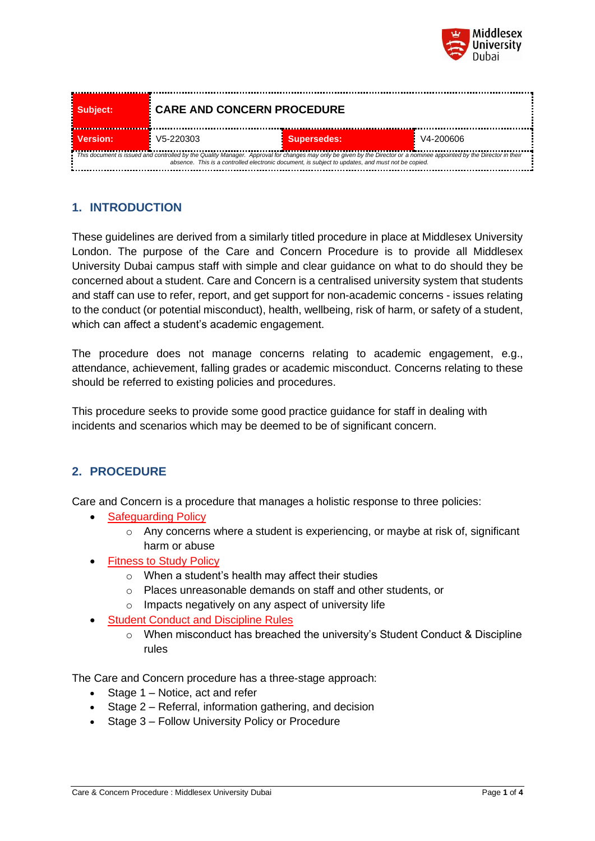

| Subject:                                                                                                                                                                                                                                                                   | <b>CARE AND CONCERN PROCEDURE</b> |                    |           |  |
|----------------------------------------------------------------------------------------------------------------------------------------------------------------------------------------------------------------------------------------------------------------------------|-----------------------------------|--------------------|-----------|--|
| Version:                                                                                                                                                                                                                                                                   | V5-220303                         | <b>Supersedes:</b> | V4-200606 |  |
| This document is issued and controlled by the Quality Manager. Approval for changes may only be given by the Director or a nominee appointed by the Director in their<br>absence. This is a controlled electronic document, is subject to updates, and must not be copied. |                                   |                    |           |  |

# **1. INTRODUCTION**

These guidelines are derived from a similarly titled procedure in place at Middlesex University London. The purpose of the Care and Concern Procedure is to provide all Middlesex University Dubai campus staff with simple and clear guidance on what to do should they be concerned about a student. Care and Concern is a centralised university system that students and staff can use to refer, report, and get support for non-academic concerns - issues relating to the conduct (or potential misconduct), health, wellbeing, risk of harm, or safety of a student, which can affect a student's academic engagement.

The procedure does not manage concerns relating to academic engagement, e.g., attendance, achievement, falling grades or academic misconduct. Concerns relating to these should be referred to existing policies and procedures.

This procedure seeks to provide some good practice guidance for staff in dealing with incidents and scenarios which may be deemed to be of significant concern.

### **2. PROCEDURE**

Care and Concern is a procedure that manages a holistic response to three policies:

- [Safeguarding Policy](https://mdxdubai.blob.core.windows.net/prod/docs/default-source/quality-office/safeguarding-policy-dbi-v3-200606.pdf?sfvrsn=6f2b1f01_4)
	- $\circ$  Any concerns where a student is experiencing, or maybe at risk of, significant harm or abuse
- [Fitness to Study Policy](https://mdxdubai.blob.core.windows.net/prod/docs/default-source/quality-office/fitness-to-study-policy-dbi-v3-200606.pdf?sfvrsn=632b1f01_4)
	- o When a student's health may affect their studies
	- o Places unreasonable demands on staff and other students, or
	- o Impacts negatively on any aspect of university life
- **[Student Conduct and Discipline Rules](https://mdxdubai.blob.core.windows.net/prod/docs/default-source/quality-office/student-conduct-and-discipline-rules-v6-0-210610.pdf?sfvrsn=cd4cf201_4)** 
	- o When misconduct has breached the university's Student Conduct & Discipline rules

The Care and Concern procedure has a three-stage approach:

- Stage 1 Notice, act and refer
- Stage 2 Referral, information gathering, and decision
- Stage 3 Follow University Policy or Procedure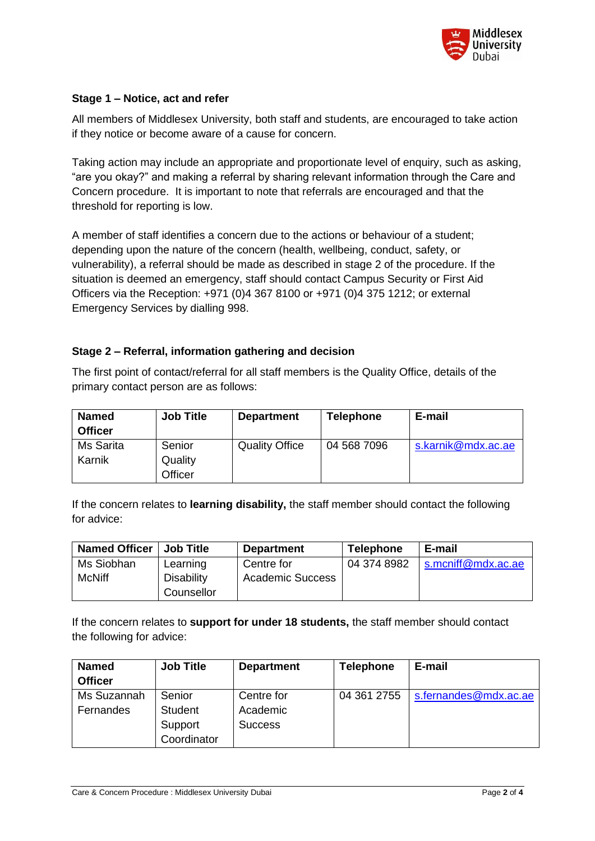

### **Stage 1 – Notice, act and refer**

All members of Middlesex University, both staff and students, are encouraged to take action if they notice or become aware of a cause for concern.

Taking action may include an appropriate and proportionate level of enquiry, such as asking, "are you okay?" and making a referral by sharing relevant information through the Care and Concern procedure. It is important to note that referrals are encouraged and that the threshold for reporting is low.

A member of staff identifies a concern due to the actions or behaviour of a student; depending upon the nature of the concern (health, wellbeing, conduct, safety, or vulnerability), a referral should be made as described in stage 2 of the procedure. If the situation is deemed an emergency, staff should contact Campus Security or First Aid Officers via the Reception: +971 (0)4 367 8100 or +971 (0)4 375 1212; or external Emergency Services by dialling 998.

#### **Stage 2 – Referral, information gathering and decision**

The first point of contact/referral for all staff members is the Quality Office, details of the primary contact person are as follows:

| <b>Named</b>        | <b>Job Title</b>             | <b>Department</b>     | <b>Telephone</b> | E-mail             |
|---------------------|------------------------------|-----------------------|------------------|--------------------|
| <b>Officer</b>      |                              |                       |                  |                    |
| Ms Sarita<br>Karnik | Senior<br>Quality<br>Officer | <b>Quality Office</b> | 04 568 7096      | s.karnik@mdx.ac.ae |

If the concern relates to **learning disability,** the staff member should contact the following for advice:

| <b>Named Officer</b> | <b>Job Title</b>  | <b>Department</b>       | <b>Telephone</b> | E-mail             |
|----------------------|-------------------|-------------------------|------------------|--------------------|
| Ms Siobhan           | Learning          | Centre for              | 04 374 8982      | s.mcniff@mdx.ac.ae |
| <b>McNiff</b>        | <b>Disability</b> | <b>Academic Success</b> |                  |                    |
|                      | Counsellor        |                         |                  |                    |

If the concern relates to **support for under 18 students,** the staff member should contact the following for advice:

| <b>Named</b>   | <b>Job Title</b> | <b>Department</b> | <b>Telephone</b> | E-mail                |
|----------------|------------------|-------------------|------------------|-----------------------|
| <b>Officer</b> |                  |                   |                  |                       |
| Ms Suzannah    | Senior           | Centre for        | 04 361 2755      | s.fernandes@mdx.ac.ae |
| Fernandes      | <b>Student</b>   | Academic          |                  |                       |
|                | Support          | <b>Success</b>    |                  |                       |
|                | Coordinator      |                   |                  |                       |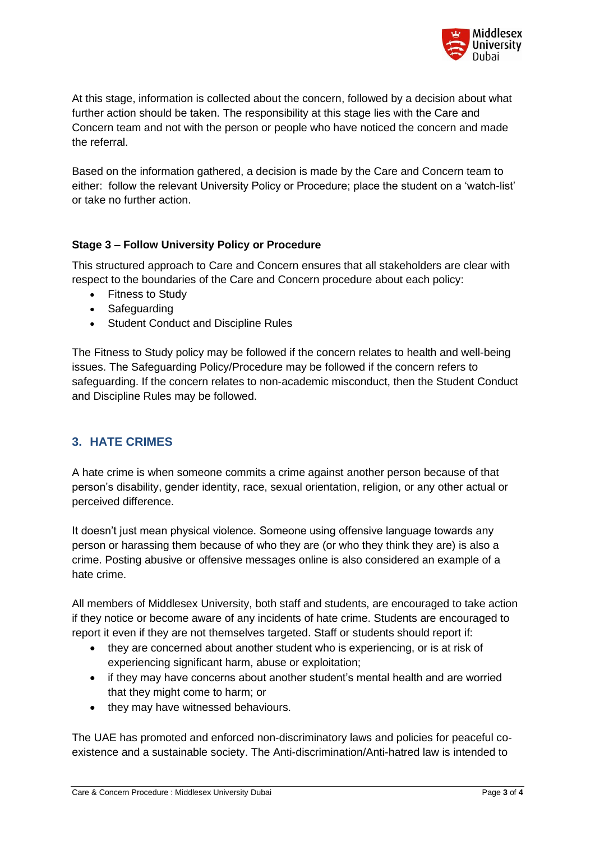

At this stage, information is collected about the concern, followed by a decision about what further action should be taken. The responsibility at this stage lies with the Care and Concern team and not with the person or people who have noticed the concern and made the referral.

Based on the information gathered, a decision is made by the Care and Concern team to either: follow the relevant University Policy or Procedure; place the student on a 'watch-list' or take no further action.

### **Stage 3 – Follow University Policy or Procedure**

This structured approach to Care and Concern ensures that all stakeholders are clear with respect to the boundaries of the Care and Concern procedure about each policy:

- Fitness to Study
- Safeguarding
- Student Conduct and Discipline Rules

The Fitness to Study policy may be followed if the concern relates to health and well-being issues. The Safeguarding Policy/Procedure may be followed if the concern refers to safeguarding. If the concern relates to non-academic misconduct, then the Student Conduct and Discipline Rules may be followed.

### **3. HATE CRIMES**

A hate crime is when someone commits a crime against another person because of that person's disability, gender identity, race, sexual orientation, religion, or any other actual or perceived difference.

It doesn't just mean physical violence. Someone using offensive language towards any person or harassing them because of who they are (or who they think they are) is also a crime. Posting abusive or offensive messages online is also considered an example of a hate crime.

All members of Middlesex University, both staff and students, are encouraged to take action if they notice or become aware of any incidents of hate crime. Students are encouraged to report it even if they are not themselves targeted. Staff or students should report if:

- they are concerned about another student who is experiencing, or is at risk of experiencing significant harm, abuse or exploitation;
- if they may have concerns about another student's mental health and are worried that they might come to harm; or
- they may have witnessed behaviours.

The UAE has promoted and enforced non-discriminatory laws and policies for peaceful coexistence and a sustainable society. The Anti-discrimination/Anti-hatred law is intended to